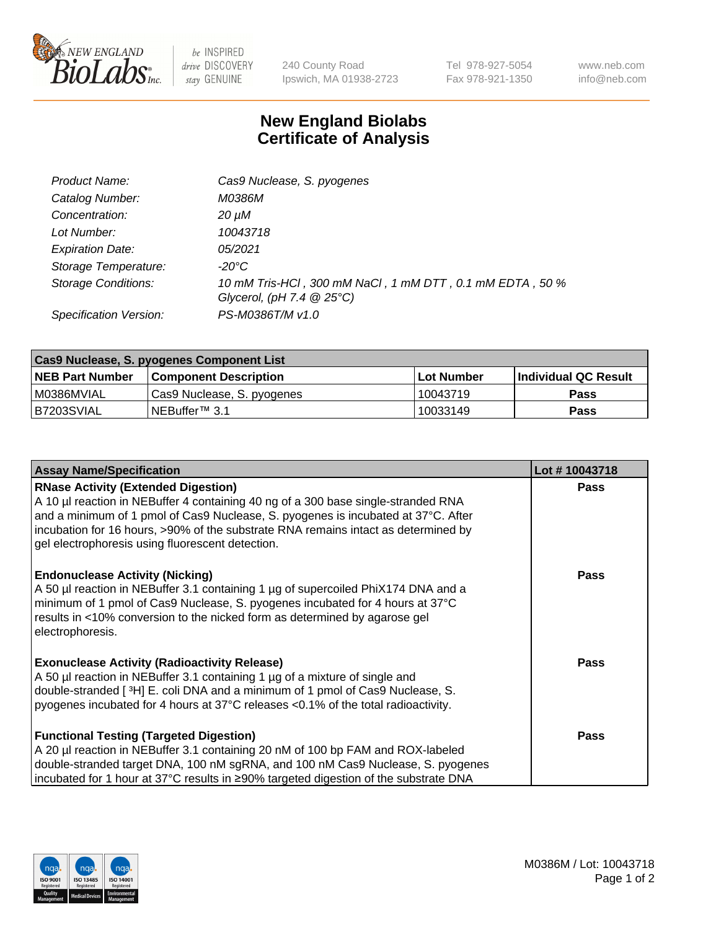

 $be$  INSPIRED drive DISCOVERY stay GENUINE

240 County Road Ipswich, MA 01938-2723 Tel 978-927-5054 Fax 978-921-1350 www.neb.com info@neb.com

## **New England Biolabs Certificate of Analysis**

| Product Name:              | Cas9 Nuclease, S. pyogenes                                                              |
|----------------------------|-----------------------------------------------------------------------------------------|
| Catalog Number:            | M0386M                                                                                  |
| Concentration:             | 20 µM                                                                                   |
| Lot Number:                | 10043718                                                                                |
| <b>Expiration Date:</b>    | 05/2021                                                                                 |
| Storage Temperature:       | -20°C                                                                                   |
| <b>Storage Conditions:</b> | 10 mM Tris-HCl, 300 mM NaCl, 1 mM DTT, 0.1 mM EDTA, 50 %<br>Glycerol, (pH 7.4 $@25°C$ ) |
| Specification Version:     | PS-M0386T/M v1.0                                                                        |

| Cas9 Nuclease, S. pyogenes Component List |                              |             |                             |  |
|-------------------------------------------|------------------------------|-------------|-----------------------------|--|
| <b>NEB Part Number</b>                    | <b>Component Description</b> | ⊺Lot Number | <b>Individual QC Result</b> |  |
| I M0386MVIAL                              | Cas9 Nuclease, S. pyogenes   | 10043719    | <b>Pass</b>                 |  |
| B7203SVIAL                                | INEBuffer™ 3.1               | 10033149    | Pass                        |  |

| <b>Assay Name/Specification</b>                                                                                                                                                                                                                                                                                                                                | Lot #10043718 |
|----------------------------------------------------------------------------------------------------------------------------------------------------------------------------------------------------------------------------------------------------------------------------------------------------------------------------------------------------------------|---------------|
| <b>RNase Activity (Extended Digestion)</b><br>A 10 µl reaction in NEBuffer 4 containing 40 ng of a 300 base single-stranded RNA<br>and a minimum of 1 pmol of Cas9 Nuclease, S. pyogenes is incubated at 37°C. After<br>incubation for 16 hours, >90% of the substrate RNA remains intact as determined by<br>gel electrophoresis using fluorescent detection. | <b>Pass</b>   |
| <b>Endonuclease Activity (Nicking)</b><br>A 50 µl reaction in NEBuffer 3.1 containing 1 µg of supercoiled PhiX174 DNA and a<br>minimum of 1 pmol of Cas9 Nuclease, S. pyogenes incubated for 4 hours at 37°C<br>results in <10% conversion to the nicked form as determined by agarose gel<br>electrophoresis.                                                 | <b>Pass</b>   |
| <b>Exonuclease Activity (Radioactivity Release)</b><br>A 50 µl reaction in NEBuffer 3.1 containing 1 µg of a mixture of single and<br>double-stranded [ <sup>3</sup> H] E. coli DNA and a minimum of 1 pmol of Cas9 Nuclease, S.<br>pyogenes incubated for 4 hours at 37°C releases <0.1% of the total radioactivity.                                          | Pass          |
| <b>Functional Testing (Targeted Digestion)</b><br>A 20 µl reaction in NEBuffer 3.1 containing 20 nM of 100 bp FAM and ROX-labeled<br>double-stranded target DNA, 100 nM sgRNA, and 100 nM Cas9 Nuclease, S. pyogenes<br> incubated for 1 hour at 37°C results in ≥90% targeted digestion of the substrate DNA                                                  | <b>Pass</b>   |